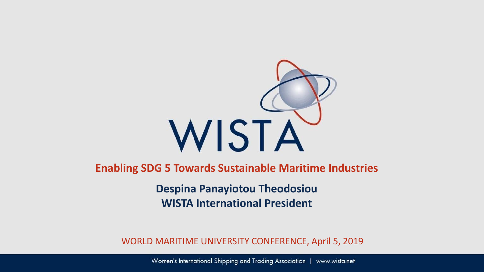

**Enabling SDG 5 Towards Sustainable Maritime Industries**

**Despina Panayiotou Theodosiou WISTA International President**

WORLD MARITIME UNIVERSITY CONFERENCE, April 5, 2019

Women's International Shipping and Trading Association | www.wista.net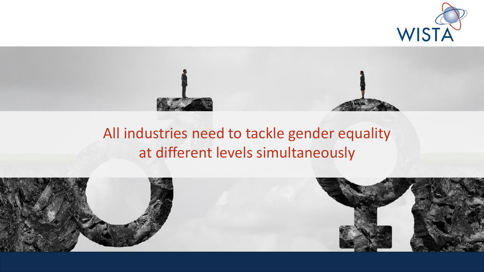



### All industries need to tackle gender equality at different levels simultaneously

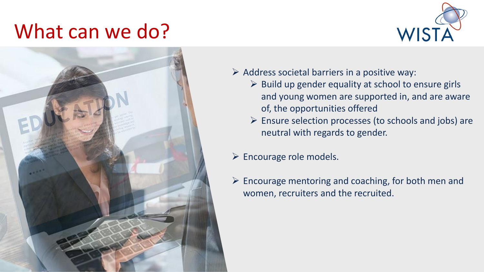## What can we do?





- $\triangleright$  Address societal barriers in a positive way:
	- $\triangleright$  Build up gender equality at school to ensure girls and young women are supported in, and are aware of, the opportunities offered
	- $\triangleright$  Ensure selection processes (to schools and jobs) are neutral with regards to gender.
- $\triangleright$  Encourage role models.
- $\triangleright$  Encourage mentoring and coaching, for both men and women, recruiters and the recruited.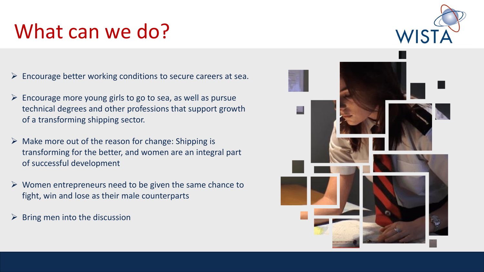# What can we do?

- $\triangleright$  Encourage better working conditions to secure careers at sea.
- $\triangleright$  Encourage more young girls to go to sea, as well as pursue technical degrees and other professions that support growth of a transforming shipping sector.
- $\triangleright$  Make more out of the reason for change: Shipping is transforming for the better, and women are an integral part of successful development
- $\triangleright$  Women entrepreneurs need to be given the same chance to fight, win and lose as their male counterparts
- $\triangleright$  Bring men into the discussion



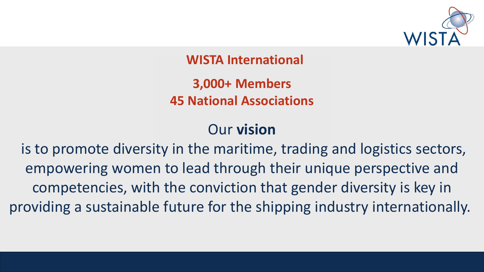

**WISTA International**

**3,000+ Members 45 National Associations**

#### Our **vision**

is to promote diversity in the maritime, trading and logistics sectors, empowering women to lead through their unique perspective and competencies, with the conviction that gender diversity is key in providing a sustainable future for the shipping industry internationally.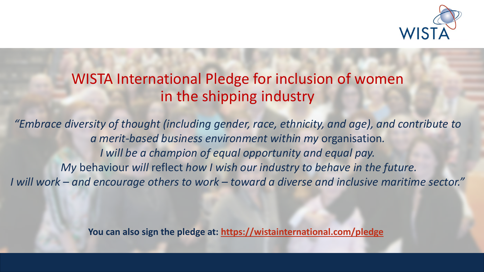

#### WISTA International Pledge for inclusion of women in the shipping industry

*"Embrace diversity of thought (including gender, race, ethnicity, and age), and contribute to a merit-based business environment within my* organisation*. I will be a champion of equal opportunity and equal pay. My* behaviour *will* reflect *how I wish our industry to behave in the future. I will work – and encourage others to work – toward a diverse and inclusive maritime sector."*

**You can also sign the pledge at:<https://wistainternational.com/pledge>**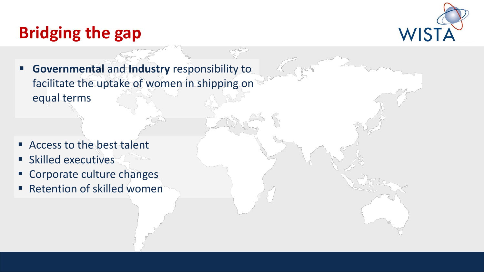### **Bridging the gap**



 **Governmental** and **Industry** responsibility to facilitate the uptake of women in shipping on equal terms

- **Access to the best talent**
- **Skilled executives**
- **Corporate culture changes**
- Retention of skilled women